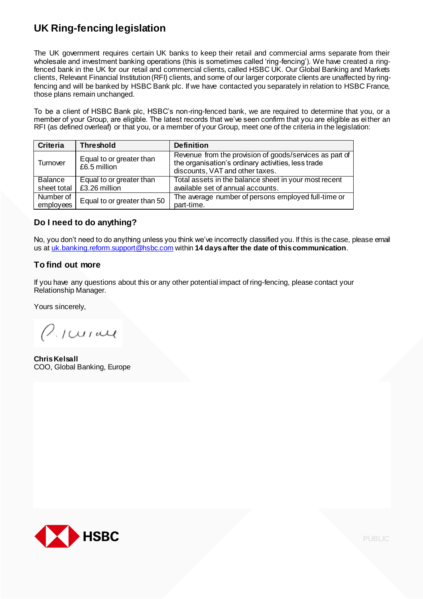# **UK Ring-fencing legislation**

The UK government requires certain UK banks to keep their retail and commercial arms separate from their wholesale and investment banking operations (this is sometimes called 'ring-fencing'). We have created a ringfenced bank in the UK for our retail and commercial clients, called HSBC UK. Our Global Banking and Markets clients, Relevant Financial Institution(RFI) clients, and some of our larger corporate clients are unaffected by ringfencing and will be banked by HSBC Bank plc. If we have contacted you separately in relation to HSBC France, those plans remain unchanged.

To be a client of HSBC Bank plc, HSBC's non-ring-fenced bank, we are required to determine that you, or a member of your Group, are eligible. The latest records that we've seen confirm that you are eligible as either an RFI (as defined overleaf) or that you, or a member of your Group, meet one of the criteria in the legislation:

| <b>Criteria</b>        | <b>Threshold</b>                         | <b>Definition</b>                                                                                                                                |
|------------------------|------------------------------------------|--------------------------------------------------------------------------------------------------------------------------------------------------|
| Turnover               | Equal to or greater than<br>£6.5 million | Revenue from the provision of goods/services as part of<br>the organisation's ordinary activities, less trade<br>discounts, VAT and other taxes. |
| Balance                | Equal to or greater than                 | Total assets in the balance sheet in your most recent                                                                                            |
| sheet total            | £3.26 million                            | available set of annual accounts.                                                                                                                |
| Number of<br>employees | Equal to or greater than 50              | The average number of persons employed full-time or<br>part-time.                                                                                |

### **Do I need to do anything?**

No, you don't need to do anything unless you think we've incorrectly classified you. If this is thecase, please email us at uk.banking.reform.support@hsbc.com within **14 daysafter the date of thiscommunication**.

### **To find out more**

If you have any [questions](mailto:uk.banking.reform.support@hsbc.com) about this or any other potential impact of ring-fencing, please contact your Relationship Manager.

Yours sincerely,

 $\varrho_{\text{.}{}/\text{curave}}$ 

**ChrisKelsall** COO, Global Banking, Europe



PUBLIC